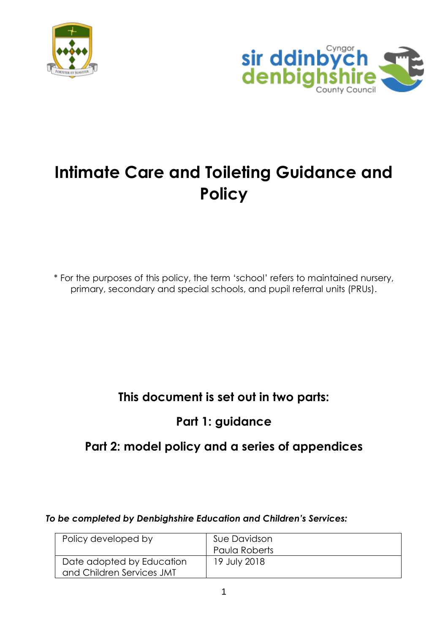



# **Intimate Care and Toileting Guidance and Policy**

\* For the purposes of this policy, the term 'school' refers to maintained nursery, primary, secondary and special schools, and pupil referral units (PRUs).

## **This document is set out in two parts:**

## **Part 1: guidance**

## **Part 2: model policy and a series of appendices**

#### *To be completed by Denbighshire Education and Children's Services:*

| Policy developed by       | Sue Davidson  |
|---------------------------|---------------|
|                           | Paula Roberts |
| Date adopted by Education | 19 July 2018  |
| and Children Services JMT |               |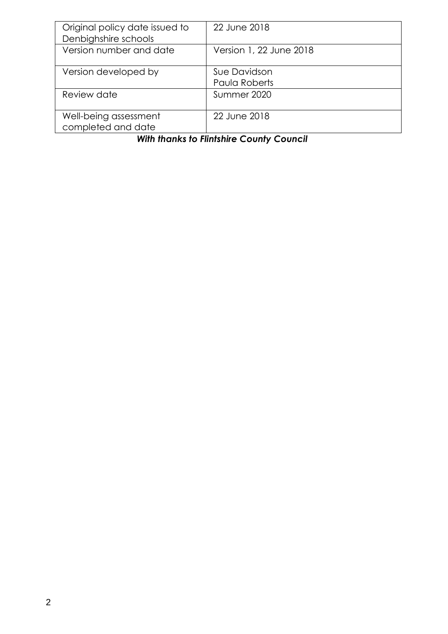| Original policy date issued to<br>Denbighshire schools | 22 June 2018                  |
|--------------------------------------------------------|-------------------------------|
| Version number and date                                | Version 1, 22 June 2018       |
| Version developed by                                   | Sue Davidson<br>Paula Roberts |
| Review date                                            | Summer 2020                   |
| Well-being assessment<br>completed and date            | 22 June 2018                  |

## *With thanks to Flintshire County Council*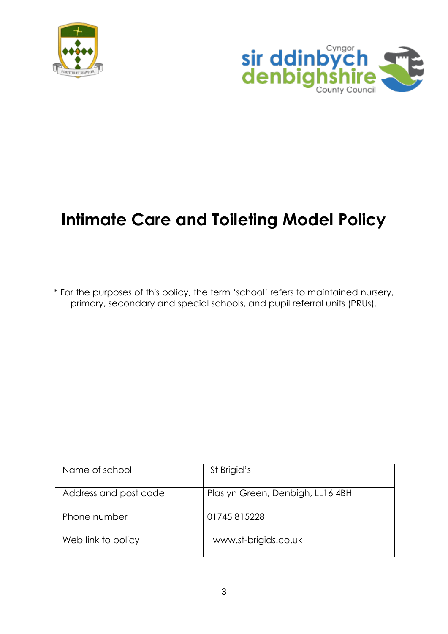



# **Intimate Care and Toileting Model Policy**

\* For the purposes of this policy, the term 'school' refers to maintained nursery, primary, secondary and special schools, and pupil referral units (PRUs).

| Name of school        | St Brigid's                      |
|-----------------------|----------------------------------|
| Address and post code | Plas yn Green, Denbigh, LL16 4BH |
| Phone number          | 01745815228                      |
| Web link to policy    | www.st-brigids.co.uk             |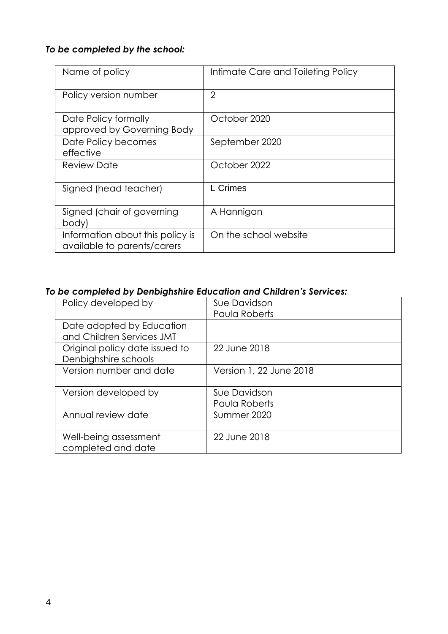## *To be completed by the school:*

| Name of policy                                                  | Intimate Care and Toileting Policy |
|-----------------------------------------------------------------|------------------------------------|
| Policy version number                                           | $\overline{2}$                     |
| Date Policy formally<br>approved by Governing Body              | October 2020                       |
| Date Policy becomes<br>effective                                | September 2020                     |
| Review Date                                                     | October 2022                       |
| Signed (head teacher)                                           | L Crimes                           |
| Signed (chair of governing<br>body)                             | A Hannigan                         |
| Information about this policy is<br>available to parents/carers | On the school website              |

#### *To be completed by Denbighshire Education and Children's Services:*

| Policy developed by            | Sue Davidson            |
|--------------------------------|-------------------------|
|                                | Paula Roberts           |
| Date adopted by Education      |                         |
| and Children Services JMT      |                         |
| Original policy date issued to | 22 June 2018            |
| Denbighshire schools           |                         |
| Version number and date        | Version 1, 22 June 2018 |
|                                |                         |
| Version developed by           | Sue Davidson            |
|                                | Paula Roberts           |
| Annual review date             | Summer 2020             |
|                                |                         |
| Well-being assessment          | 22 June 2018            |
| completed and date             |                         |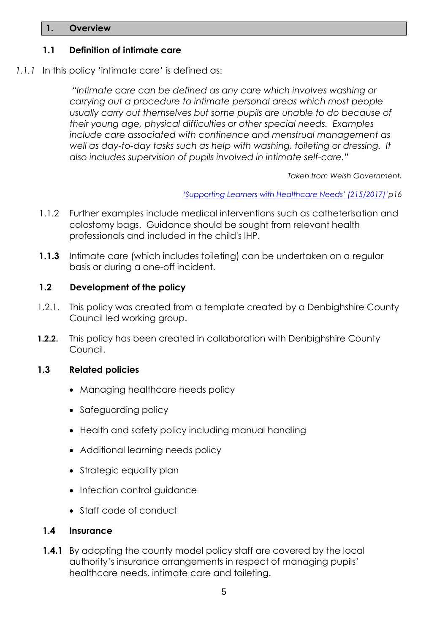#### **1. Overview**

#### **1.1 Definition of intimate care**

*1.1.1* In this policy 'intimate care' is defined as:

*"Intimate care can be defined as any care which involves washing or carrying out a procedure to intimate personal areas which most people usually carry out themselves but some pupils are unable to do because of their young age, physical difficulties or other special needs. Examples include care associated with continence and menstrual management as*  well as day-to-day tasks such as help with washing, toileting or dressing. It *also includes supervision of pupils involved in intimate self-care."*

*Taken from Welsh Government,*

*['Supporting Learners with Healthcare Needs' \(215/2017\)'](http://learning.gov.wales/resources/browse-all/supporting-learners-with-healthcare-needs/?lang=en)p16* 

- 1.1.2 Further examples include medical interventions such as catheterisation and colostomy bags. Guidance should be sought from relevant health professionals and included in the child's IHP.
- **1.1.3** Intimate care (which includes toileting) can be undertaken on a regular basis or during a one-off incident.

#### **1.2 Development of the policy**

- 1.2.1. This policy was created from a template created by a Denbighshire County Council led working group.
- **1.2.2.** This policy has been created in collaboration with Denbighshire County Council.

#### **1.3 Related policies**

- Managing healthcare needs policy
- Safeguarding policy
- Health and safety policy including manual handling
- Additional learning needs policy
- Strategic equality plan
- Infection control quidance
- Staff code of conduct

#### **1.4 Insurance**

**1.4.1** By adopting the county model policy staff are covered by the local authority's insurance arrangements in respect of managing pupils' healthcare needs, intimate care and toileting.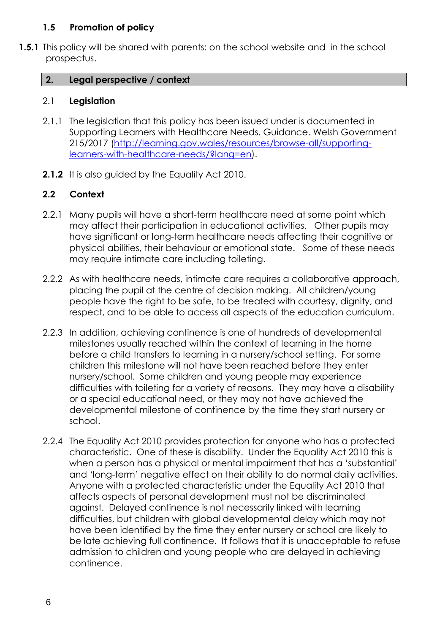#### **1.5 Promotion of policy**

**1.5.1** This policy will be shared with parents: on the school website and in the school prospectus.

#### **2. Legal perspective / context**

#### 2.1 **Legislation**

- 2.1.1 The legislation that this policy has been issued under is documented in Supporting Learners with Healthcare Needs. Guidance. Welsh Government 215/2017 [\(http://learning.gov.wales/resources/browse-all/supporting](http://learning.gov.wales/resources/browse-all/supporting-learners-with-healthcare-needs/?lang=en)[learners-with-healthcare-needs/?lang=en\)](http://learning.gov.wales/resources/browse-all/supporting-learners-with-healthcare-needs/?lang=en).
- **2.1.2** It is also guided by the Equality Act 2010.

#### **2.2 Context**

- 2.2.1 Many pupils will have a short-term healthcare need at some point which may affect their participation in educational activities. Other pupils may have significant or long-term healthcare needs affecting their cognitive or physical abilities, their behaviour or emotional state. Some of these needs may require intimate care including toileting.
- 2.2.2 As with healthcare needs, intimate care requires a collaborative approach, placing the pupil at the centre of decision making. All children/young people have the right to be safe, to be treated with courtesy, dignity, and respect, and to be able to access all aspects of the education curriculum.
- 2.2.3 In addition, achieving continence is one of hundreds of developmental milestones usually reached within the context of learning in the home before a child transfers to learning in a nursery/school setting. For some children this milestone will not have been reached before they enter nursery/school. Some children and young people may experience difficulties with toileting for a variety of reasons. They may have a disability or a special educational need, or they may not have achieved the developmental milestone of continence by the time they start nursery or school.
- 2.2.4 The Equality Act 2010 provides protection for anyone who has a protected characteristic. One of these is disability. Under the Equality Act 2010 this is when a person has a physical or mental impairment that has a 'substantial' and 'long-term' negative effect on their ability to do normal daily activities. Anyone with a protected characteristic under the Equality Act 2010 that affects aspects of personal development must not be discriminated against. Delayed continence is not necessarily linked with learning difficulties, but children with global developmental delay which may not have been identified by the time they enter nursery or school are likely to be late achieving full continence. It follows that it is unacceptable to refuse admission to children and young people who are delayed in achieving continence.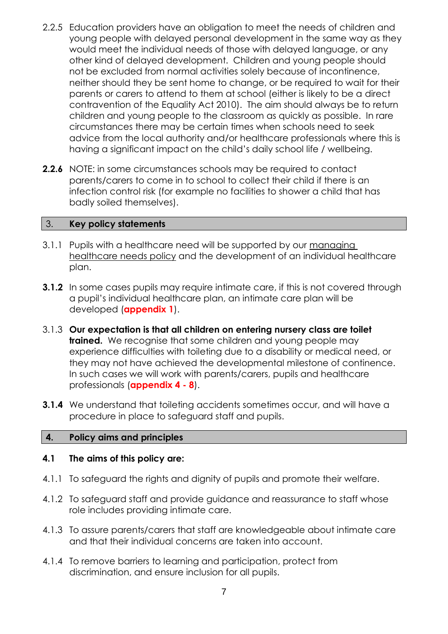- 2.2.5 Education providers have an obligation to meet the needs of children and young people with delayed personal development in the same way as they would meet the individual needs of those with delayed language, or any other kind of delayed development.Children and young people should not be excluded from normal activities solely because of incontinence, neither should they be sent home to change, or be required to wait for their parents or carers to attend to them at school (either is likely to be a direct contravention of the Equality Act 2010). The aim should always be to return children and young people to the classroom as quickly as possible. In rare circumstances there may be certain times when schools need to seek advice from the local authority and/or healthcare professionals where this is having a significant impact on the child's daily school life / wellbeing.
- **2.2.6** NOTE: in some circumstances schools may be required to contact parents/carers to come in to school to collect their child if there is an infection control risk (for example no facilities to shower a child that has badly soiled themselves).

#### 3. **Key policy statements**

- 3.1.1 Pupils with a healthcare need will be supported by our managing healthcare needs policy and the development of an individual healthcare plan.
- **3.1.2** In some cases pupils may require intimate care, if this is not covered through a pupil's individual healthcare plan, an intimate care plan will be developed (**appendix 1**).
- 3.1.3 **Our expectation is that all children on entering nursery class are toilet trained.** We recognise that some children and young people may experience difficulties with toileting due to a disability or medical need, or they may not have achieved the developmental milestone of continence. In such cases we will work with parents/carers, pupils and healthcare professionals (**appendix 4 - 8**).
- **3.1.4** We understand that toileting accidents sometimes occur, and will have a procedure in place to safeguard staff and pupils.

#### **4. Policy aims and principles**

#### **4.1 The aims of this policy are:**

- 4.1.1 To safeguard the rights and dignity of pupils and promote their welfare.
- 4.1.2 To safeguard staff and provide guidance and reassurance to staff whose role includes providing intimate care.
- 4.1.3 To assure parents/carers that staff are knowledgeable about intimate care and that their individual concerns are taken into account.
- 4.1.4 To remove barriers to learning and participation, protect from discrimination, and ensure inclusion for all pupils.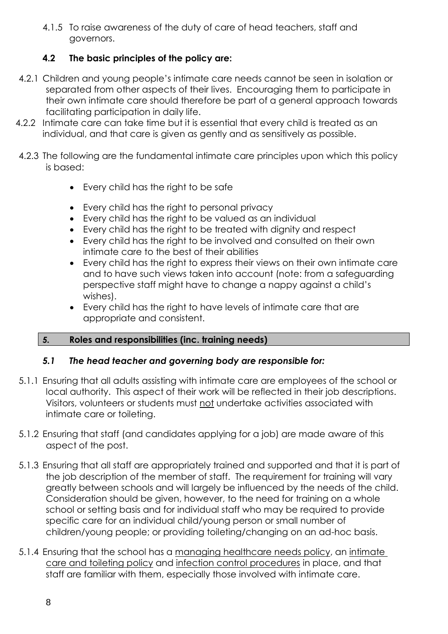4.1.5 To raise awareness of the duty of care of head teachers, staff and governors.

#### **4.2 The basic principles of the policy are:**

- 4.2.1 Children and young people's intimate care needs cannot be seen in isolation or separated from other aspects of their lives. Encouraging them to participate in their own intimate care should therefore be part of a general approach towards facilitating participation in daily life.
- 4.2.2 Intimate care can take time but it is essential that every child is treated as an individual, and that care is given as gently and as sensitively as possible.
- 4.2.3 The following are the fundamental intimate care principles upon which this policy is based:
	- Every child has the right to be safe
	- Every child has the right to personal privacy
	- Every child has the right to be valued as an individual
	- Every child has the right to be treated with dignity and respect
	- Every child has the right to be involved and consulted on their own intimate care to the best of their abilities
	- Every child has the right to express their views on their own intimate care and to have such views taken into account (note: from a safeguarding perspective staff might have to change a nappy against a child's wishes).
	- Every child has the right to have levels of intimate care that are appropriate and consistent.

#### *5.* **Roles and responsibilities (inc. training needs)**

#### *5.1 The head teacher and governing body are responsible for:*

- 5.1.1 Ensuring that all adults assisting with intimate care are employees of the school or local authority. This aspect of their work will be reflected in their job descriptions. Visitors, volunteers or students must not undertake activities associated with intimate care or toileting.
- 5.1.2 Ensuring that staff (and candidates applying for a job) are made aware of this aspect of the post.
- 5.1.3 Ensuring that all staff are appropriately trained and supported and that it is part of the job description of the member of staff. The requirement for training will vary greatly between schools and will largely be influenced by the needs of the child. Consideration should be given, however, to the need for training on a whole school or setting basis and for individual staff who may be required to provide specific care for an individual child/young person or small number of children/young people; or providing toileting/changing on an ad-hoc basis.
- 5.1.4 Ensuring that the school has a managing healthcare needs policy, an intimate care and toileting policy and infection control procedures in place, and that staff are familiar with them, especially those involved with intimate care.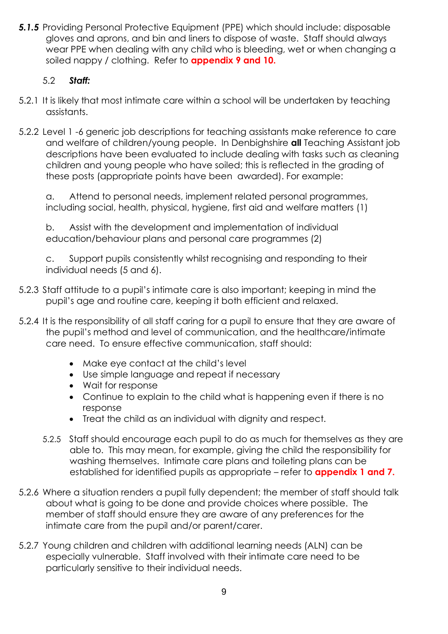**5.1.5** Providing Personal Protective Equipment (PPE) which should include: disposable gloves and aprons, and bin and liners to dispose of waste. Staff should always wear PPE when dealing with any child who is bleeding, wet or when changing a soiled nappy / clothing. Refer to **appendix 9 and 10.**

#### 5.2 *Staff:*

- 5.2.1 It is likely that most intimate care within a school will be undertaken by teaching assistants.
- 5.2.2 Level 1 -6 generic job descriptions for teaching assistants make reference to care and welfare of children/young people. In Denbighshire **all** Teaching Assistant job descriptions have been evaluated to include dealing with tasks such as cleaning children and young people who have soiled; this is reflected in the grading of these posts (appropriate points have been awarded). For example:

a. Attend to personal needs, implement related personal programmes, including social, health, physical, hygiene, first aid and welfare matters (1)

b. Assist with the development and implementation of individual education/behaviour plans and personal care programmes (2)

c. Support pupils consistently whilst recognising and responding to their individual needs (5 and 6).

- 5.2.3 Staff attitude to a pupil's intimate care is also important; keeping in mind the pupil's age and routine care, keeping it both efficient and relaxed.
- 5.2.4 It is the responsibility of all staff caring for a pupil to ensure that they are aware of the pupil's method and level of communication, and the healthcare/intimate care need. To ensure effective communication, staff should:
	- Make eye contact at the child's level
	- Use simple language and repeat if necessary
	- Wait for response
	- Continue to explain to the child what is happening even if there is no response
	- Treat the child as an individual with dignity and respect.
	- 5.2.5 Staff should encourage each pupil to do as much for themselves as they are able to. This may mean, for example, giving the child the responsibility for washing themselves. Intimate care plans and toileting plans can be established for identified pupils as appropriate – refer to **appendix 1 and 7.**
- 5.2.6 Where a situation renders a pupil fully dependent; the member of staff should talk about what is going to be done and provide choices where possible. The member of staff should ensure they are aware of any preferences for the intimate care from the pupil and/or parent/carer.
- 5.2.7 Young children and children with additional learning needs (ALN) can be especially vulnerable. Staff involved with their intimate care need to be particularly sensitive to their individual needs.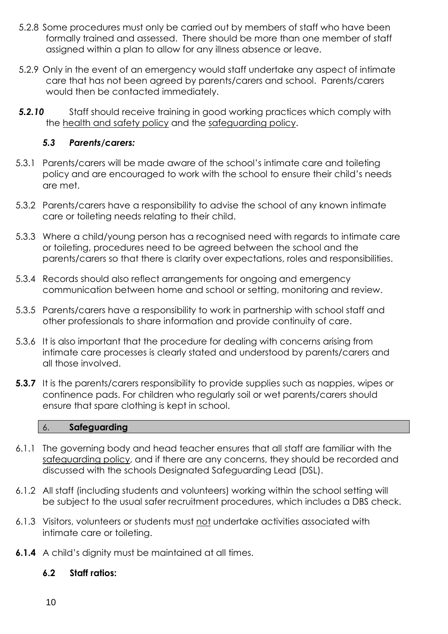- 5.2.8 Some procedures must only be carried out by members of staff who have been formally trained and assessed. There should be more than one member of staff assigned within a plan to allow for any illness absence or leave.
- 5.2.9 Only in the event of an emergency would staff undertake any aspect of intimate care that has not been agreed by parents/carers and school. Parents/carers would then be contacted immediately.
- **5.2.10** Staff should receive training in good working practices which comply with the health and safety policy and the safeguarding policy.

#### *5.3 Parents/carers:*

- 5.3.1 Parents/carers will be made aware of the school's intimate care and toileting policy and are encouraged to work with the school to ensure their child's needs are met.
- 5.3.2 Parents/carers have a responsibility to advise the school of any known intimate care or toileting needs relating to their child.
- 5.3.3 Where a child/young person has a recognised need with regards to intimate care or toileting, procedures need to be agreed between the school and the parents/carers so that there is clarity over expectations, roles and responsibilities.
- 5.3.4 Records should also reflect arrangements for ongoing and emergency communication between home and school or setting, monitoring and review.
- 5.3.5 Parents/carers have a responsibility to work in partnership with school staff and other professionals to share information and provide continuity of care.
- 5.3.6 It is also important that the procedure for dealing with concerns arising from intimate care processes is clearly stated and understood by parents/carers and all those involved.
- **5.3.7** It is the parents/carers responsibility to provide supplies such as nappies, wipes or continence pads. For children who regularly soil or wet parents/carers should ensure that spare clothing is kept in school.

#### 6. **Safeguarding**

- 6.1.1 The governing body and head teacher ensures that all staff are familiar with the safeguarding policy, and if there are any concerns, they should be recorded and discussed with the schools Designated Safeguarding Lead (DSL).
- 6.1.2 All staff (including students and volunteers) working within the school setting will be subject to the usual safer recruitment procedures, which includes a DBS check.
- 6.1.3 Visitors, volunteers or students must not undertake activities associated with intimate care or toileting.
- **6.1.4** A child's dignity must be maintained at all times.

#### **6.2 Staff ratios:**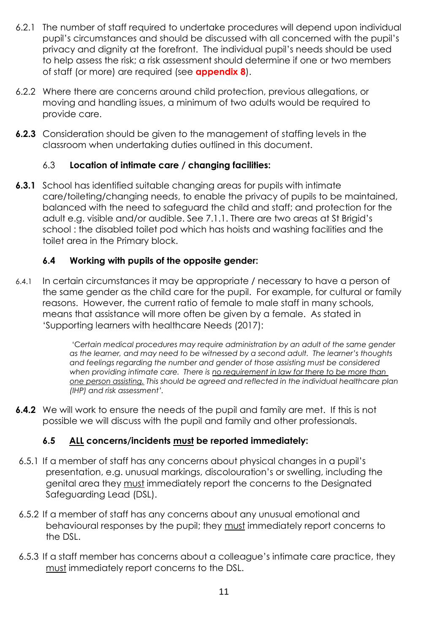- 6.2.1 The number of staff required to undertake procedures will depend upon individual pupil's circumstances and should be discussed with all concerned with the pupil's privacy and dignity at the forefront. The individual pupil's needs should be used to help assess the risk; a risk assessment should determine if one or two members of staff (or more) are required (see **appendix 8**).
- 6.2.2 Where there are concerns around child protection, previous allegations, or moving and handling issues, a minimum of two adults would be required to provide care.
- **6.2.3** Consideration should be given to the management of staffing levels in the classroom when undertaking duties outlined in this document.

#### 6.3 **Location of intimate care / changing facilities:**

**6.3.1** School has identified suitable changing areas for pupils with intimate care/toileting/changing needs, to enable the privacy of pupils to be maintained, balanced with the need to safeguard the child and staff; and protection for the adult e.g. visible and/or audible. See 7.1.1. There are two areas at St Brigid's school : the disabled toilet pod which has hoists and washing facilities and the toilet area in the Primary block.

#### **6.4 Working with pupils of the opposite gender:**

6.4.1 In certain circumstances it may be appropriate / necessary to have a person of the same gender as the child care for the pupil. For example, for cultural or family reasons. However, the current ratio of female to male staff in many schools, means that assistance will more often be given by a female. As stated in 'Supporting learners with healthcare Needs (2017):

> 'C*ertain medical procedures may require administration by an adult of the same gender as the learner, and may need to be witnessed by a second adult. The learner's thoughts and feelings regarding the number and gender of those assisting must be considered when providing intimate care. There is no requirement in law for there to be more than one person assisting. This should be agreed and reflected in the individual healthcare plan (IHP) and risk assessment'.*

**6.4.2** We will work to ensure the needs of the pupil and family are met. If this is not possible we will discuss with the pupil and family and other professionals.

#### **6.5 ALL concerns/incidents must be reported immediately:**

- 6.5.1 If a member of staff has any concerns about physical changes in a pupil's presentation, e.g. unusual markings, discolouration's or swelling, including the genital area they must immediately report the concerns to the Designated Safeguarding Lead (DSL).
- 6.5.2 If a member of staff has any concerns about any unusual emotional and behavioural responses by the pupil; they must immediately report concerns to the DSL.
- 6.5.3 If a staff member has concerns about a colleague's intimate care practice, they must immediately report concerns to the DSL.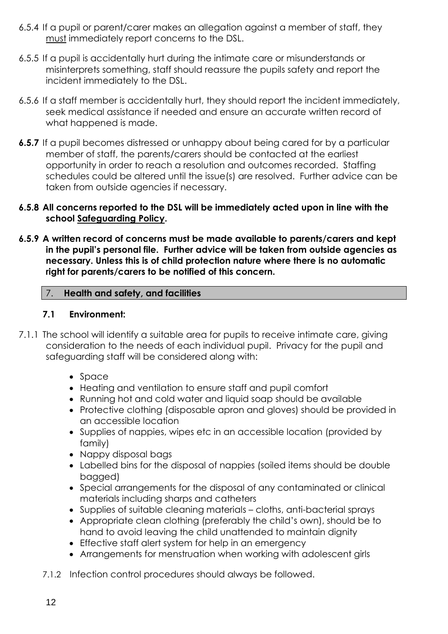- 6.5.4 If a pupil or parent/carer makes an allegation against a member of staff, they must immediately report concerns to the DSL.
- 6.5.5 If a pupil is accidentally hurt during the intimate care or misunderstands or misinterprets something, staff should reassure the pupils safety and report the incident immediately to the DSL.
- 6.5.6 If a staff member is accidentally hurt, they should report the incident immediately, seek medical assistance if needed and ensure an accurate written record of what happened is made.
- **6.5.7** If a pupil becomes distressed or unhappy about being cared for by a particular member of staff, the parents/carers should be contacted at the earliest opportunity in order to reach a resolution and outcomes recorded. Staffing schedules could be altered until the issue(s) are resolved. Further advice can be taken from outside agencies if necessary.

#### **6.5.8 All concerns reported to the DSL will be immediately acted upon in line with the school Safeguarding Policy.**

**6.5.9 A written record of concerns must be made available to parents/carers and kept in the pupil's personal file. Further advice will be taken from outside agencies as necessary. Unless this is of child protection nature where there is no automatic right for parents/carers to be notified of this concern.** 

#### 7. **Health and safety, and facilities**

#### **7.1 Environment:**

- 7.1.1 The school will identify a suitable area for pupils to receive intimate care, giving consideration to the needs of each individual pupil. Privacy for the pupil and safeguarding staff will be considered along with:
	- Space
	- Heating and ventilation to ensure staff and pupil comfort
	- Running hot and cold water and liquid soap should be available
	- Protective clothing (disposable apron and gloves) should be provided in an accessible location
	- Supplies of nappies, wipes etc in an accessible location (provided by family)
	- Nappy disposal bags
	- Labelled bins for the disposal of nappies (soiled items should be double bagged)
	- Special arrangements for the disposal of any contaminated or clinical materials including sharps and catheters
	- Supplies of suitable cleaning materials cloths, anti-bacterial sprays
	- Appropriate clean clothing (preferably the child's own), should be to hand to avoid leaving the child unattended to maintain dignity
	- Effective staff alert system for help in an emergency
	- Arrangements for menstruation when working with adolescent girls
	- 7.1.2 Infection control procedures should always be followed.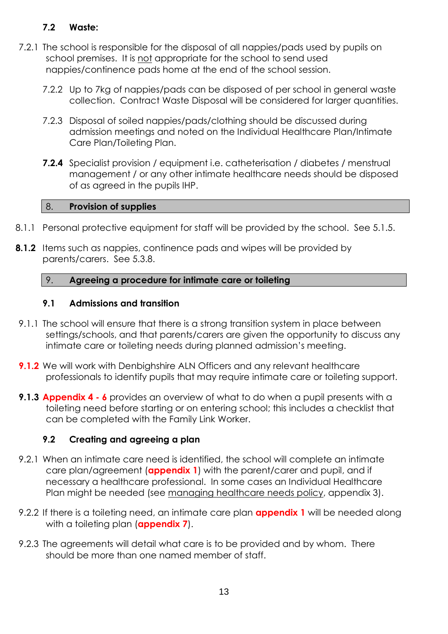#### **7.2 Waste:**

- 7.2.1 The school is responsible for the disposal of all nappies/pads used by pupils on school premises. It is not appropriate for the school to send used nappies/continence pads home at the end of the school session.
	- 7.2.2 Up to 7kg of nappies/pads can be disposed of per school in general waste collection. Contract Waste Disposal will be considered for larger quantities.
	- 7.2.3 Disposal of soiled nappies/pads/clothing should be discussed during admission meetings and noted on the Individual Healthcare Plan/Intimate Care Plan/Toileting Plan.
	- **7.2.4** Specialist provision / equipment i.e. catheterisation / diabetes / menstrual management / or any other intimate healthcare needs should be disposed of as agreed in the pupils IHP.

#### 8. **Provision of supplies**

- 8.1.1 Personal protective equipment for staff will be provided by the school. See 5.1.5.
- **8.1.2** Items such as nappies, continence pads and wipes will be provided by parents/carers. See 5.3.8.

#### 9. **Agreeing a procedure for intimate care or toileting**

#### **9.1 Admissions and transition**

- 9.1.1 The school will ensure that there is a strong transition system in place between settings/schools, and that parents/carers are given the opportunity to discuss any intimate care or toileting needs during planned admission's meeting.
- **9.1.2** We will work with Denbighshire ALN Officers and any relevant healthcare professionals to identify pupils that may require intimate care or toileting support.
- **9.1.3 Appendix 4 - 6** provides an overview of what to do when a pupil presents with a toileting need before starting or on entering school; this includes a checklist that can be completed with the Family Link Worker.

#### **9.2 Creating and agreeing a plan**

- 9.2.1 When an intimate care need is identified, the school will complete an intimate care plan/agreement (**appendix 1**) with the parent/carer and pupil, and if necessary a healthcare professional. In some cases an Individual Healthcare Plan might be needed (see managing healthcare needs policy, appendix 3).
- 9.2.2 If there is a toileting need, an intimate care plan **appendix 1** will be needed along with a toileting plan (**appendix 7**).
- 9.2.3 The agreements will detail what care is to be provided and by whom. There should be more than one named member of staff.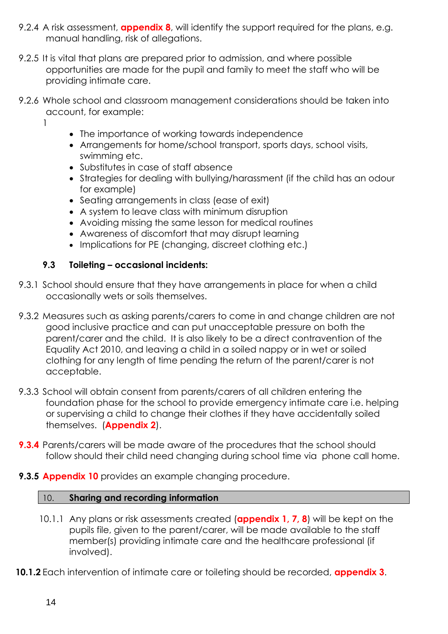- 9.2.4 A risk assessment, **appendix 8**, will identify the support required for the plans, e.g. manual handling, risk of allegations.
- 9.2.5 It is vital that plans are prepared prior to admission, and where possible opportunities are made for the pupil and family to meet the staff who will be providing intimate care.
- 9.2.6 Whole school and classroom management considerations should be taken into account, for example:
	- 1
- The importance of working towards independence
- Arrangements for home/school transport, sports days, school visits, swimming etc.
- Substitutes in case of staff absence
- Strategies for dealing with bullying/harassment (if the child has an odour for example)
- Seating arrangements in class (ease of exit)
- A system to leave class with minimum disruption
- Avoiding missing the same lesson for medical routines
- Awareness of discomfort that may disrupt learning
- Implications for PE (changing, discreet clothing etc.)

#### **9.3 Toileting – occasional incidents:**

- 9.3.1 School should ensure that they have arrangements in place for when a child occasionally wets or soils themselves.
- 9.3.2 Measures such as asking parents/carers to come in and change children are not good inclusive practice and can put unacceptable pressure on both the parent/carer and the child. It is also likely to be a direct contravention of the Equality Act 2010, and leaving a child in a soiled nappy or in wet or soiled clothing for any length of time pending the return of the parent/carer is not acceptable.
- 9.3.3 School will obtain consent from parents/carers of all children entering the foundation phase for the school to provide emergency intimate care i.e. helping or supervising a child to change their clothes if they have accidentally soiled themselves. (**Appendix 2**).
- **9.3.4** Parents/carers will be made aware of the procedures that the school should follow should their child need changing during school time via phone call home.
- **9.3.5 Appendix 10** provides an example changing procedure.

#### 10. **Sharing and recording information**

- 10.1.1 Any plans or risk assessments created (**appendix 1, 7, 8**) will be kept on the pupils file, given to the parent/carer, will be made available to the staff member(s) providing intimate care and the healthcare professional (if involved).
- **10.1.2** Each intervention of intimate care or toileting should be recorded, **appendix 3**.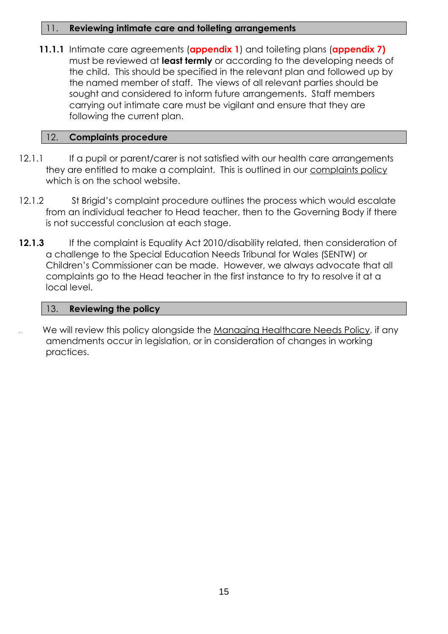#### 11. **Reviewing intimate care and toileting arrangements**

**11.1.1** Intimate care agreements (**appendix 1**) and toileting plans (**appendix 7)**  must be reviewed at **least termly** or according to the developing needs of the child. This should be specified in the relevant plan and followed up by the named member of staff. The views of all relevant parties should be sought and considered to inform future arrangements. Staff members carrying out intimate care must be vigilant and ensure that they are following the current plan.

#### 12. **Complaints procedure**

- 12.1.1 If a pupil or parent/carer is not satisfied with our health care arrangements they are entitled to make a complaint. This is outlined in our complaints policy which is on the school website.
- 12.1.2 St Brigid's complaint procedure outlines the process which would escalate from an individual teacher to Head teacher, then to the Governing Body if there is not successful conclusion at each stage.
- 12.1.3 If the complaint is Equality Act 2010/disability related, then consideration of a challenge to the Special Education Needs Tribunal for Wales (SENTW) or Children's Commissioner can be made. However, we always advocate that all complaints go to the Head teacher in the first instance to try to resolve it at a local level.

#### 13. **Reviewing the policy**

We will review this policy alongside the Managing Healthcare Needs Policy, if any amendments occur in legislation, or in consideration of changes in working practices.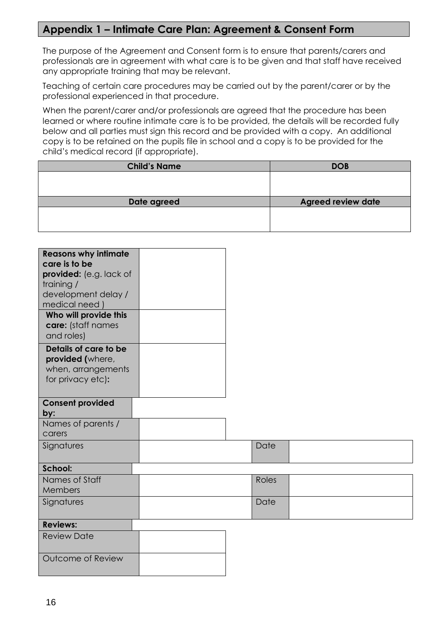#### **Appendix 1 – Intimate Care Plan: Agreement & Consent Form**

The purpose of the Agreement and Consent form is to ensure that parents/carers and professionals are in agreement with what care is to be given and that staff have received any appropriate training that may be relevant.

Teaching of certain care procedures may be carried out by the parent/carer or by the professional experienced in that procedure.

When the parent/carer and/or professionals are agreed that the procedure has been learned or where routine intimate care is to be provided, the details will be recorded fully below and all parties must sign this record and be provided with a copy. An additional copy is to be retained on the pupils file in school and a copy is to be provided for the child's medical record (if appropriate).

| <b>Child's Name</b> | <b>DOB</b>                |
|---------------------|---------------------------|
|                     |                           |
|                     |                           |
|                     |                           |
|                     |                           |
| Date agreed         | <b>Agreed review date</b> |
|                     |                           |
|                     |                           |

| <b>Reasons why intimate</b><br>care is to be<br>provided: (e.g. lack of<br>training /<br>development delay /<br>medical need)<br>Who will provide this<br>care: (staff names<br>and roles)<br>Details of care to be<br>provided (where,<br>when, arrangements |  |              |  |
|---------------------------------------------------------------------------------------------------------------------------------------------------------------------------------------------------------------------------------------------------------------|--|--------------|--|
| for privacy etc):                                                                                                                                                                                                                                             |  |              |  |
| <b>Consent provided</b><br>by:                                                                                                                                                                                                                                |  |              |  |
| Names of parents /<br>carers                                                                                                                                                                                                                                  |  |              |  |
| Signatures                                                                                                                                                                                                                                                    |  | Date         |  |
| School:                                                                                                                                                                                                                                                       |  |              |  |
| Names of Staff<br>Members                                                                                                                                                                                                                                     |  | <b>Roles</b> |  |
| Signatures                                                                                                                                                                                                                                                    |  | Date         |  |
| <b>Reviews:</b>                                                                                                                                                                                                                                               |  |              |  |
| <b>Review Date</b>                                                                                                                                                                                                                                            |  |              |  |
| Outcome of Review                                                                                                                                                                                                                                             |  |              |  |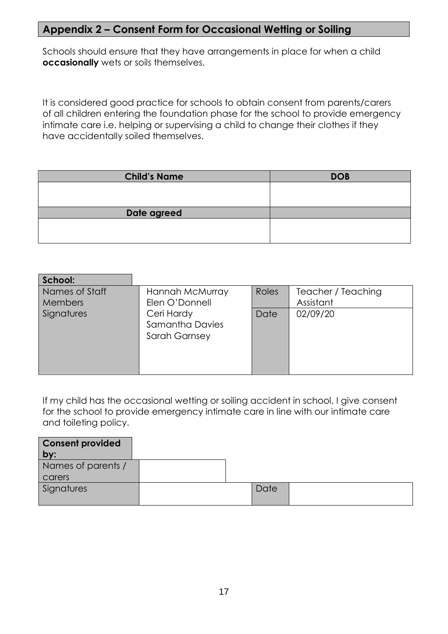### **Appendix 2 – Consent Form for Occasional Wetting or Soiling**

Schools should ensure that they have arrangements in place for when a child **occasionally** wets or soils themselves.

It is considered good practice for schools to obtain consent from parents/carers of all children entering the foundation phase for the school to provide emergency intimate care i.e. helping or supervising a child to change their clothes if they have accidentally soiled themselves.

| <b>Child's Name</b> | <b>DOB</b> |
|---------------------|------------|
|                     |            |
|                     |            |
| Date agreed         |            |
|                     |            |
|                     |            |

| School:                          |                                                              |       |                                 |
|----------------------------------|--------------------------------------------------------------|-------|---------------------------------|
| Names of Staff<br><b>Members</b> | Hannah McMurray<br>Elen O'Donnell                            | Roles | Teacher / Teaching<br>Assistant |
| Signatures                       | Ceri Hardy<br><b>Samantha Davies</b><br><b>Sarah Garnsey</b> | Date  | 02/09/20                        |

If my child has the occasional wetting or soiling accident in school, I give consent for the school to provide emergency intimate care in line with our intimate care and toileting policy.

| <b>Consent provided</b><br>by: |  |      |  |
|--------------------------------|--|------|--|
| Names of parents /             |  |      |  |
| carers                         |  |      |  |
| Signatures                     |  | Date |  |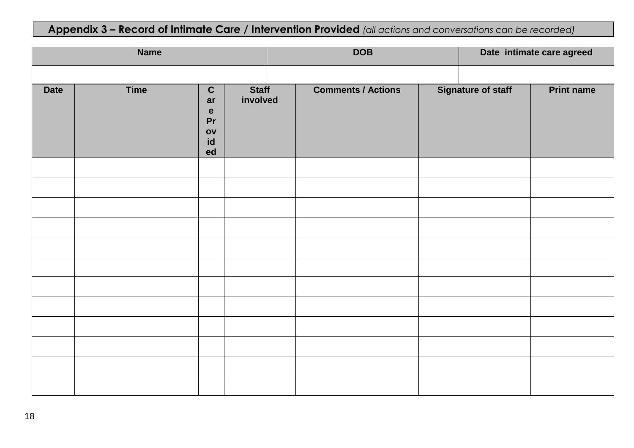## **Appendix 3 – Record of Intimate Care / Intervention Provided** *(all actions and conversations can be recorded)*

|             | <b>Name</b> |                                                                         |                          | <b>DOB</b> |                           |  | Date intimate care agreed |                   |  |
|-------------|-------------|-------------------------------------------------------------------------|--------------------------|------------|---------------------------|--|---------------------------|-------------------|--|
|             |             |                                                                         |                          |            |                           |  |                           |                   |  |
| <b>Date</b> | <b>Time</b> | $\overline{c}$<br>ar<br>$\mathbf e$<br>Pr<br>O <sub>V</sub><br>id<br>ed | <b>Staff</b><br>involved |            | <b>Comments / Actions</b> |  | <b>Signature of staff</b> | <b>Print name</b> |  |
|             |             |                                                                         |                          |            |                           |  |                           |                   |  |
|             |             |                                                                         |                          |            |                           |  |                           |                   |  |
|             |             |                                                                         |                          |            |                           |  |                           |                   |  |
|             |             |                                                                         |                          |            |                           |  |                           |                   |  |
|             |             |                                                                         |                          |            |                           |  |                           |                   |  |
|             |             |                                                                         |                          |            |                           |  |                           |                   |  |
|             |             |                                                                         |                          |            |                           |  |                           |                   |  |
|             |             |                                                                         |                          |            |                           |  |                           |                   |  |
|             |             |                                                                         |                          |            |                           |  |                           |                   |  |
|             |             |                                                                         |                          |            |                           |  |                           |                   |  |
|             |             |                                                                         |                          |            |                           |  |                           |                   |  |
|             |             |                                                                         |                          |            |                           |  |                           |                   |  |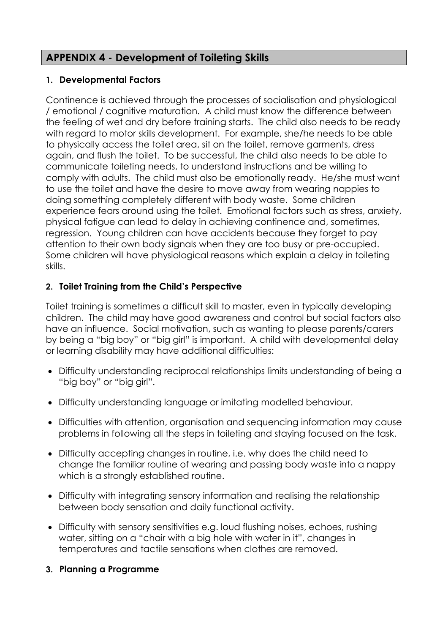## **APPENDIX 4 - Development of Toileting Skills**

#### **1. Developmental Factors**

Continence is achieved through the processes of socialisation and physiological / emotional / cognitive maturation. A child must know the difference between the feeling of wet and dry before training starts. The child also needs to be ready with regard to motor skills development. For example, she/he needs to be able to physically access the toilet area, sit on the toilet, remove garments, dress again, and flush the toilet. To be successful, the child also needs to be able to communicate toileting needs, to understand instructions and be willing to comply with adults. The child must also be emotionally ready. He/she must want to use the toilet and have the desire to move away from wearing nappies to doing something completely different with body waste. Some children experience fears around using the toilet. Emotional factors such as stress, anxiety, physical fatigue can lead to delay in achieving continence and, sometimes, regression. Young children can have accidents because they forget to pay attention to their own body signals when they are too busy or pre-occupied. Some children will have physiological reasons which explain a delay in toileting skills.

#### **2. Toilet Training from the Child's Perspective**

Toilet training is sometimes a difficult skill to master, even in typically developing children. The child may have good awareness and control but social factors also have an influence. Social motivation, such as wanting to please parents/carers by being a "big boy" or "big girl" is important. A child with developmental delay or learning disability may have additional difficulties:

- Difficulty understanding reciprocal relationships limits understanding of being a "big boy" or "big girl".
- Difficulty understanding language or imitating modelled behaviour.
- Difficulties with attention, organisation and sequencing information may cause problems in following all the steps in toileting and staying focused on the task.
- Difficulty accepting changes in routine, i.e. why does the child need to change the familiar routine of wearing and passing body waste into a nappy which is a strongly established routine.
- Difficulty with integrating sensory information and realising the relationship between body sensation and daily functional activity.
- Difficulty with sensory sensitivities e.g. loud flushing noises, echoes, rushing water, sitting on a "chair with a big hole with water in it", changes in temperatures and tactile sensations when clothes are removed.
- **3. Planning a Programme**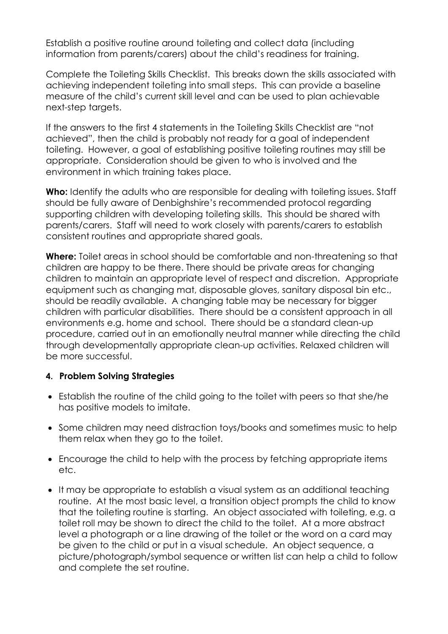Establish a positive routine around toileting and collect data (including information from parents/carers) about the child's readiness for training.

Complete the Toileting Skills Checklist. This breaks down the skills associated with achieving independent toileting into small steps. This can provide a baseline measure of the child's current skill level and can be used to plan achievable next-step targets.

If the answers to the first 4 statements in the Toileting Skills Checklist are "not achieved", then the child is probably not ready for a goal of independent toileting. However, a goal of establishing positive toileting routines may still be appropriate. Consideration should be given to who is involved and the environment in which training takes place.

**Who:** Identify the adults who are responsible for dealing with toileting issues. Staff should be fully aware of Denbighshire's recommended protocol regarding supporting children with developing toileting skills. This should be shared with parents/carers. Staff will need to work closely with parents/carers to establish consistent routines and appropriate shared goals.

**Where:** Toilet areas in school should be comfortable and non-threatening so that children are happy to be there. There should be private areas for changing children to maintain an appropriate level of respect and discretion. Appropriate equipment such as changing mat, disposable gloves, sanitary disposal bin etc., should be readily available. A chanaina table may be necessary for bigger children with particular disabilities. There should be a consistent approach in all environments e.g. home and school. There should be a standard clean-up procedure, carried out in an emotionally neutral manner while directing the child through developmentally appropriate clean-up activities. Relaxed children will be more successful.

#### **4. Problem Solving Strategies**

- Establish the routine of the child going to the toilet with peers so that she/he has positive models to imitate.
- Some children may need distraction toys/books and sometimes music to help them relax when they go to the toilet.
- Encourage the child to help with the process by fetching appropriate items etc.
- It may be appropriate to establish a visual system as an additional teaching routine. At the most basic level, a transition object prompts the child to know that the toileting routine is starting. An object associated with toileting, e.g. a toilet roll may be shown to direct the child to the toilet. At a more abstract level a photograph or a line drawing of the toilet or the word on a card may be given to the child or put in a visual schedule. An object sequence, a picture/photograph/symbol sequence or written list can help a child to follow and complete the set routine.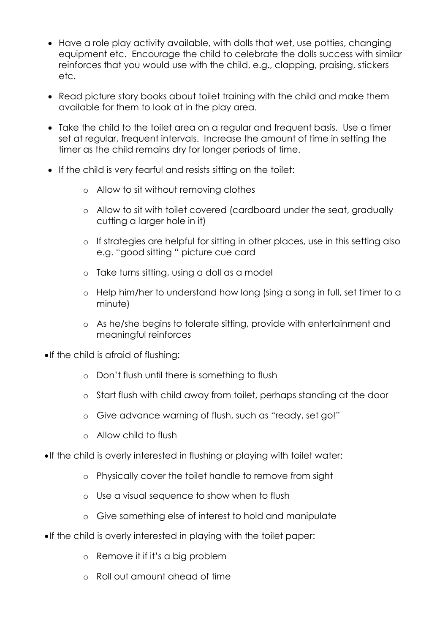- Have a role play activity available, with dolls that wet, use potties, changing equipment etc. Encourage the child to celebrate the dolls success with similar reinforces that you would use with the child, e.g., clapping, praising, stickers etc.
- Read picture story books about toilet training with the child and make them available for them to look at in the play area.
- Take the child to the toilet area on a regular and frequent basis. Use a timer set at regular, frequent intervals. Increase the amount of time in setting the timer as the child remains dry for longer periods of time.
- If the child is very fearful and resists sitting on the toilet:
	- o Allow to sit without removing clothes
	- o Allow to sit with toilet covered (cardboard under the seat, gradually cutting a larger hole in it)
	- o If strategies are helpful for sitting in other places, use in this setting also e.g. "good sitting " picture cue card
	- o Take turns sitting, using a doll as a model
	- o Help him/her to understand how long (sing a song in full, set timer to a minute)
	- o As he/she begins to tolerate sitting, provide with entertainment and meaningful reinforces
- •If the child is afraid of flushing:
	- o Don't flush until there is something to flush
	- o Start flush with child away from toilet, perhaps standing at the door
	- o Give advance warning of flush, such as "ready, set go!"
	- o Allow child to flush
- •If the child is overly interested in flushing or playing with toilet water:
	- o Physically cover the toilet handle to remove from sight
	- o Use a visual sequence to show when to flush
	- o Give something else of interest to hold and manipulate
- •If the child is overly interested in playing with the toilet paper:
	- o Remove it if it's a big problem
	- o Roll out amount ahead of time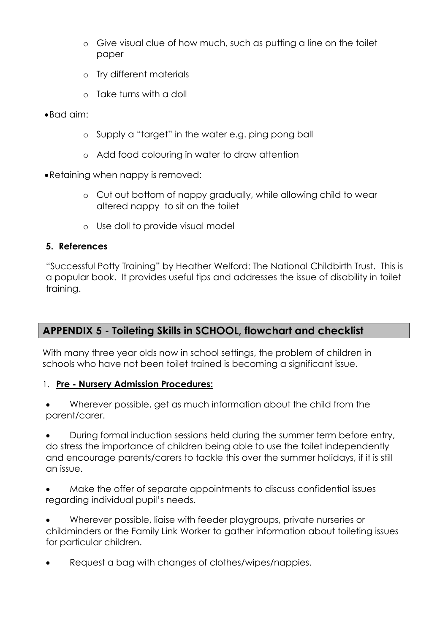- o Give visual clue of how much, such as putting a line on the toilet paper
- o Try different materials
- o Take turns with a doll
- •Bad aim:
	- o Supply a "target" in the water e.g. ping pong ball
	- o Add food colouring in water to draw attention
- •Retaining when nappy is removed:
	- o Cut out bottom of nappy gradually, while allowing child to wear altered nappy to sit on the toilet
	- o Use doll to provide visual model

#### **5. References**

"Successful Potty Training" by Heather Welford: The National Childbirth Trust. This is a popular book. It provides useful tips and addresses the issue of disability in toilet training.

### **APPENDIX 5 - Toileting Skills in SCHOOL, flowchart and checklist**

With many three year olds now in school settings, the problem of children in schools who have not been toilet trained is becoming a significant issue.

#### 1. **Pre - Nursery Admission Procedures:**

• Wherever possible, get as much information about the child from the parent/carer.

• During formal induction sessions held during the summer term before entry, do stress the importance of children being able to use the toilet independently and encourage parents/carers to tackle this over the summer holidays, if it is still an issue.

• Make the offer of separate appointments to discuss confidential issues regarding individual pupil's needs.

• Wherever possible, liaise with feeder playgroups, private nurseries or childminders or the Family Link Worker to gather information about toileting issues for particular children.

• Request a bag with changes of clothes/wipes/nappies.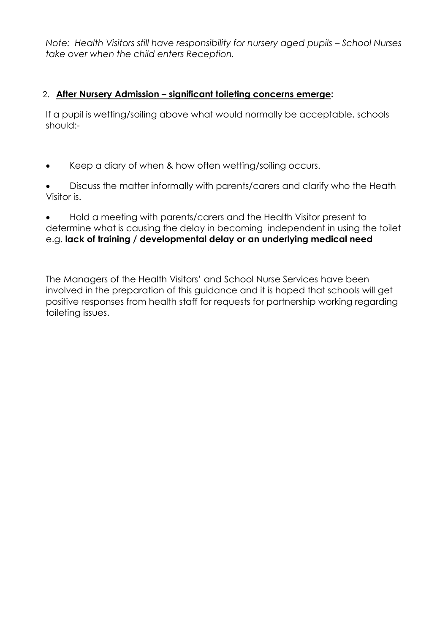*Note: Health Visitors still have responsibility for nursery aged pupils - School Nurses take over when the child enters Reception.*

#### 2. **After Nursery Admission – significant toileting concerns emerge:**

If a pupil is wetting/soiling above what would normally be acceptable, schools should:-

- Keep a diary of when & how often wetting/soiling occurs.
- Discuss the matter informally with parents/carers and clarify who the Heath Visitor is.

• Hold a meeting with parents/carers and the Health Visitor present to determine what is causing the delay in becoming independent in using the toilet e.g. **lack of training / developmental delay or an underlying medical need**

The Managers of the Health Visitors' and School Nurse Services have been involved in the preparation of this guidance and it is hoped that schools will get positive responses from health staff for requests for partnership working regarding toileting issues.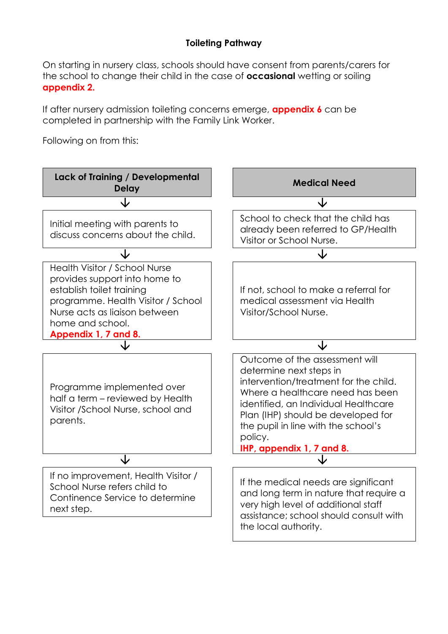#### **Toileting Pathway**

On starting in nursery class, schools should have consent from parents/carers for the school to change their child in the case of **occasional** wetting or soiling **appendix 2.** 

If after nursery admission toileting concerns emerge, **appendix 6** can be completed in partnership with the Family Link Worker.

Following on from this:

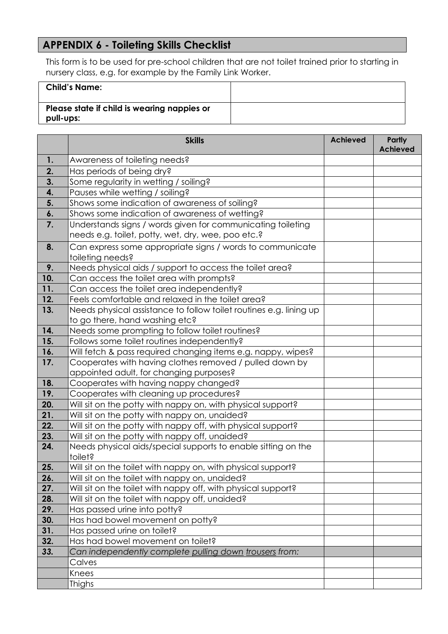## **APPENDIX 6 - Toileting Skills Checklist**

This form is to be used for pre-school children that are not toilet trained prior to starting in nursery class, e.g. for example by the Family Link Worker.

| <b>Child's Name:</b>                                     |  |
|----------------------------------------------------------|--|
| Please state if child is wearing nappies or<br>pull-ups: |  |

|            | <b>Skills</b>                                                                                                 | <b>Achieved</b> | <b>Partly</b><br><b>Achieved</b> |
|------------|---------------------------------------------------------------------------------------------------------------|-----------------|----------------------------------|
| 1.         | Awareness of toileting needs?                                                                                 |                 |                                  |
| 2.         | Has periods of being dry?                                                                                     |                 |                                  |
| 3.         | Some regularity in wetting / soiling?                                                                         |                 |                                  |
| 4.         | Pauses while wetting / soiling?                                                                               |                 |                                  |
| 5.         | Shows some indication of awareness of soiling?                                                                |                 |                                  |
| 6.         | Shows some indication of awareness of wetting?                                                                |                 |                                  |
| 7.         | Understands signs / words given for communicating toileting                                                   |                 |                                  |
|            | needs e.g. toilet, potty, wet, dry, wee, poo etc.?                                                            |                 |                                  |
| 8.         | Can express some appropriate signs / words to communicate                                                     |                 |                                  |
|            | toileting needs?                                                                                              |                 |                                  |
| 9.         | Needs physical aids / support to access the toilet area?                                                      |                 |                                  |
| 10.        | Can access the toilet area with prompts?                                                                      |                 |                                  |
| 11.        | Can access the toilet area independently?                                                                     |                 |                                  |
| 12.        | Feels comfortable and relaxed in the toilet area?                                                             |                 |                                  |
| 13.        | Needs physical assistance to follow toilet routines e.g. lining up                                            |                 |                                  |
|            | to go there, hand washing etc?                                                                                |                 |                                  |
| 14.        | Needs some prompting to follow toilet routines?                                                               |                 |                                  |
| 15.        | Follows some toilet routines independently?                                                                   |                 |                                  |
| 16.        | Will fetch & pass required changing items e.g. nappy, wipes?                                                  |                 |                                  |
| 17.        | Cooperates with having clothes removed / pulled down by                                                       |                 |                                  |
|            | appointed adult, for changing purposes?                                                                       |                 |                                  |
| 18.<br>19. | Cooperates with having nappy changed?                                                                         |                 |                                  |
|            | Cooperates with cleaning up procedures?                                                                       |                 |                                  |
| 20.<br>21. | Will sit on the potty with nappy on, with physical support?                                                   |                 |                                  |
| 22.        | Will sit on the potty with nappy on, unaided?<br>Will sit on the potty with nappy off, with physical support? |                 |                                  |
| 23.        | Will sit on the potty with nappy off, unaided?                                                                |                 |                                  |
| 24.        | Needs physical aids/special supports to enable sitting on the                                                 |                 |                                  |
|            | toilet?                                                                                                       |                 |                                  |
| 25.        | Will sit on the toilet with nappy on, with physical support?                                                  |                 |                                  |
| 26.        | Will sit on the toilet with nappy on, unaided?                                                                |                 |                                  |
| 27.        | Will sit on the toilet with nappy off, with physical support?                                                 |                 |                                  |
| 28.        | Will sit on the toilet with nappy off, unaided?                                                               |                 |                                  |
| 29.        | Has passed urine into potty?                                                                                  |                 |                                  |
| 30.        | Has had bowel movement on potty?                                                                              |                 |                                  |
| 31.        | Has passed urine on toilet?                                                                                   |                 |                                  |
| 32.        | Has had bowel movement on toilet?                                                                             |                 |                                  |
| 33.        | Can independently complete pulling down trousers from:                                                        |                 |                                  |
|            | Calves                                                                                                        |                 |                                  |
|            | Knees                                                                                                         |                 |                                  |
|            | <b>Thighs</b>                                                                                                 |                 |                                  |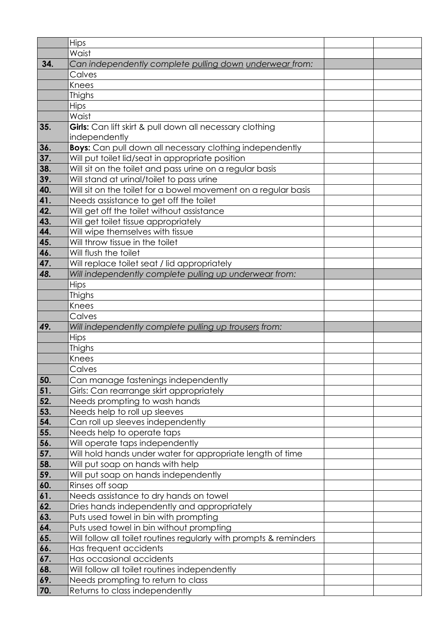|     | Hips                                                               |  |
|-----|--------------------------------------------------------------------|--|
|     | Waist                                                              |  |
| 34. | Can independently complete pulling down underwear from:            |  |
|     | Calves                                                             |  |
|     | Knees                                                              |  |
|     | <b>Thighs</b>                                                      |  |
|     | <b>Hips</b>                                                        |  |
|     | Waist                                                              |  |
| 35. | Girls: Can lift skirt & pull down all necessary clothing           |  |
|     | independently                                                      |  |
| 36. | <b>Boys:</b> Can pull down all necessary clothing independently    |  |
| 37. | Will put toilet lid/seat in appropriate position                   |  |
| 38. | Will sit on the toilet and pass urine on a regular basis           |  |
| 39. | Will stand at urinal/toilet to pass urine                          |  |
| 40. | Will sit on the toilet for a bowel movement on a regular basis     |  |
| 41. | Needs assistance to get off the toilet                             |  |
| 42. | Will get off the toilet without assistance                         |  |
| 43. | Will get toilet tissue appropriately                               |  |
| 44. | Will wipe themselves with tissue                                   |  |
| 45. | Will throw tissue in the toilet                                    |  |
| 46. | Will flush the toilet                                              |  |
| 47. | Will replace toilet seat / lid appropriately                       |  |
| 48. | Will independently complete pulling up underwear from:             |  |
|     | <b>Hips</b>                                                        |  |
|     | <b>Thighs</b>                                                      |  |
|     | Knees                                                              |  |
|     | Calves                                                             |  |
| 49. | Will independently complete pulling up trousers from:              |  |
|     | Hips                                                               |  |
|     | <b>Thighs</b>                                                      |  |
|     | Knees                                                              |  |
|     | Calves                                                             |  |
| 50. | Can manage fastenings independently                                |  |
| 51. | Girls: Can rearrange skirt appropriately                           |  |
| 52. | Needs prompting to wash hands                                      |  |
| 53. | Needs help to roll up sleeves                                      |  |
| 54. | Can roll up sleeves independently                                  |  |
| 55. | Needs help to operate taps                                         |  |
| 56. | Will operate taps independently                                    |  |
| 57. | Will hold hands under water for appropriate length of time         |  |
| 58. | Will put soap on hands with help                                   |  |
| 59. | Will put soap on hands independently                               |  |
| 60. | Rinses off soap                                                    |  |
| 61. | Needs assistance to dry hands on towel                             |  |
| 62. | Dries hands independently and appropriately                        |  |
| 63. | Puts used towel in bin with prompting                              |  |
| 64. | Puts used towel in bin without prompting                           |  |
| 65. | Will follow all toilet routines regularly with prompts & reminders |  |
| 66. | Has frequent accidents                                             |  |
| 67. | Has occasional accidents                                           |  |
| 68. | Will follow all toilet routines independently                      |  |
| 69. | Needs prompting to return to class                                 |  |
| 70. | Returns to class independently                                     |  |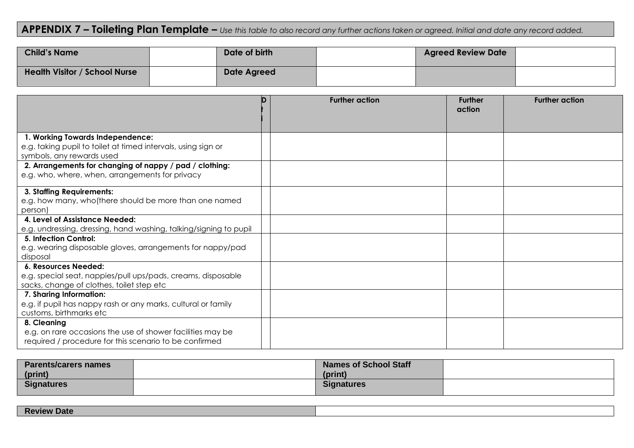## **APPENDIX 7 – Toileting Plan Template –** *Use this table to also record any further actions taken or agreed. Initial and date any record added.*

| <b>Child's Name</b>                  | Date of birth      | <b>Agreed Review Date</b> |  |
|--------------------------------------|--------------------|---------------------------|--|
| <b>Health Visitor / School Nurse</b> | <b>Date Agreed</b> |                           |  |

|                                                                                                                                     | n | <b>Further action</b> | <b>Further</b><br>action | <b>Further action</b> |
|-------------------------------------------------------------------------------------------------------------------------------------|---|-----------------------|--------------------------|-----------------------|
|                                                                                                                                     |   |                       |                          |                       |
| 1. Working Towards Independence:<br>e.g. taking pupil to toilet at timed intervals, using sign or<br>symbols, any rewards used      |   |                       |                          |                       |
| 2. Arrangements for changing of nappy / pad / clothing:<br>e.g. who, where, when, arrangements for privacy                          |   |                       |                          |                       |
| 3. Staffing Requirements:<br>e.g. how many, who (there should be more than one named<br>person)                                     |   |                       |                          |                       |
| 4. Level of Assistance Needed:<br>e.g. undressing, dressing, hand washing, talking/signing to pupil                                 |   |                       |                          |                       |
| 5. Infection Control:<br>e.g. wearing disposable gloves, arrangements for nappy/pad<br>disposal                                     |   |                       |                          |                       |
| 6. Resources Needed:<br>e.g. special seat, nappies/pull ups/pads, creams, disposable<br>sacks, change of clothes, toilet step etc   |   |                       |                          |                       |
| 7. Sharing Information:<br>e.g. if pupil has nappy rash or any marks, cultural or family<br>customs, birthmarks etc                 |   |                       |                          |                       |
| 8. Cleaning<br>e.g. on rare occasions the use of shower facilities may be<br>required / procedure for this scenario to be confirmed |   |                       |                          |                       |

| <b>Parents/carers names</b> | <b>Names of School Staff</b> |  |
|-----------------------------|------------------------------|--|
| (print)                     | (print)                      |  |
| <b>Signatures</b>           | <b>Signatures</b>            |  |

| <b>Date</b><br><b>RAVIAW</b><br>NG |  |
|------------------------------------|--|
|                                    |  |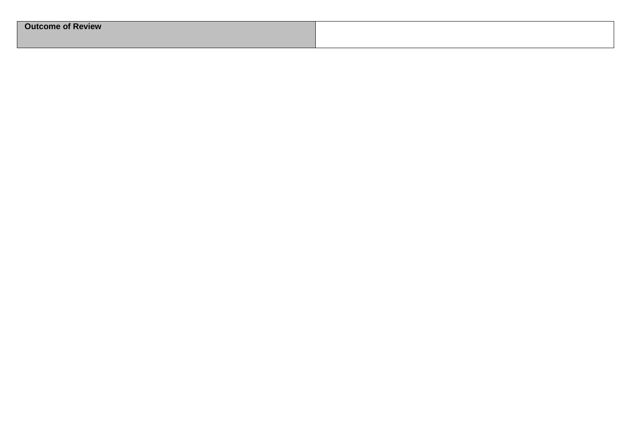| <b>Outcome of Review</b> |  |
|--------------------------|--|
|                          |  |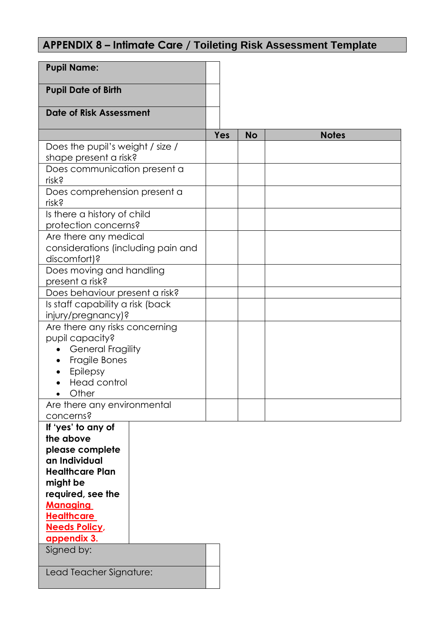## **APPENDIX 8 – Intimate Care / Toileting Risk Assessment Template**

| <b>Pupil Name:</b>                                 |     |           |              |
|----------------------------------------------------|-----|-----------|--------------|
| <b>Pupil Date of Birth</b>                         |     |           |              |
| <b>Date of Risk Assessment</b>                     |     |           |              |
|                                                    | Yes | <b>No</b> | <b>Notes</b> |
| Does the pupil's weight / size /                   |     |           |              |
| shape present a risk?                              |     |           |              |
| Does communication present a<br>risk?              |     |           |              |
| Does comprehension present a<br>risk?              |     |           |              |
| Is there a history of child                        |     |           |              |
| protection concerns?                               |     |           |              |
| Are there any medical                              |     |           |              |
| considerations (including pain and<br>discomfort)? |     |           |              |
| Does moving and handling                           |     |           |              |
| present a risk?                                    |     |           |              |
| Does behaviour present a risk?                     |     |           |              |
| Is staff capability a risk (back                   |     |           |              |
| injury/pregnancy)?                                 |     |           |              |
| Are there any risks concerning                     |     |           |              |
| pupil capacity?<br><b>General Fragility</b>        |     |           |              |
| Fragile Bones                                      |     |           |              |
| <b>Epilepsy</b>                                    |     |           |              |
| <b>Head control</b>                                |     |           |              |
| Other                                              |     |           |              |
| Are there any environmental                        |     |           |              |
| concerns?                                          |     |           |              |
| If 'yes' to any of<br>the above                    |     |           |              |
| please complete                                    |     |           |              |
| an Individual                                      |     |           |              |
| <b>Healthcare Plan</b>                             |     |           |              |
| might be                                           |     |           |              |
| required, see the                                  |     |           |              |
| <b>Managing</b>                                    |     |           |              |
| <b>Healthcare</b><br><b>Needs Policy,</b>          |     |           |              |
| appendix 3.                                        |     |           |              |
| Signed by:                                         |     |           |              |
|                                                    |     |           |              |
| Lead Teacher Signature:                            |     |           |              |
|                                                    |     |           |              |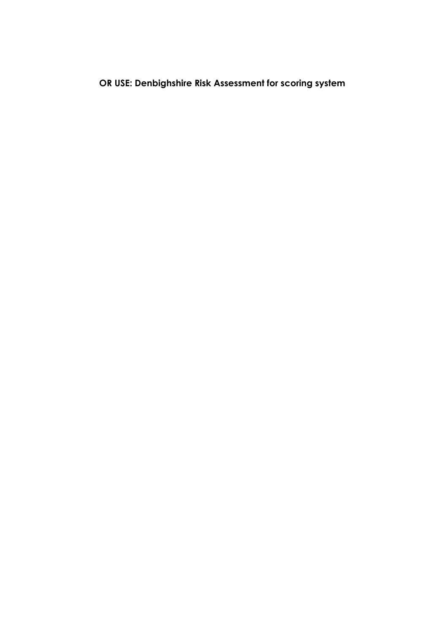## **OR USE: Denbighshire Risk Assessment for scoring system**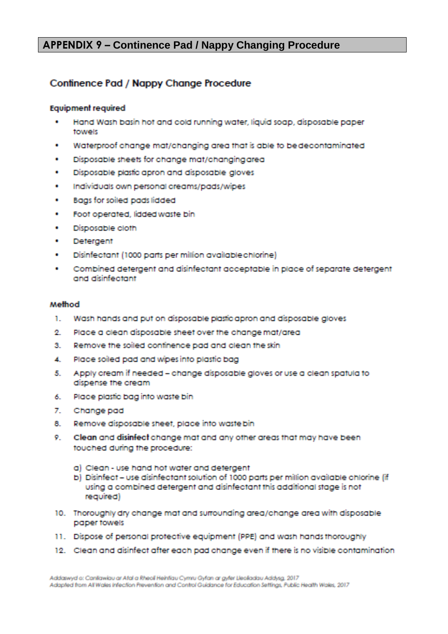#### **APPENDIX 9 – Continence Pad / Nappy Changing Procedure**

#### Confinence Pad / Nappy Change Procedure

#### **Equipment required**

- Hand Wash basin hot and cold running water, liquid soap, disposable paper a. towels
- Waterproof change mat/changing area that is able to be decontaminated ÷
- Disposable sheets for change mat/changing area ğ,
- Disposable plastic apron and disposable gloves a.
- Individuals own personal creams/pads/wipes ä.
- Bags for soiled pads lidded œ.
- Foot operated, lidded waste bin œ.
- ÷ Disposable cloth
- ä. Detergent
- Disinfectant (1000 parts per million available chlorine) a.
- Combined detergent and disinfectant acceptable in place of separate detergent ٠ and disinfectant

#### Method

- 1. Wash hands and put on disposable plastic apron and disposable gloves
- 69. Place a clean disposable sheet over the change mat/area
- Remove the soiled continence pad and clean the skin 3.
- Place soiled pad and wipes into plastic bag 4.
- 5. Apply cream if needed - change disposable gloves or use a clean spatula to dispense the cream
- Place plastic bag into waste bin 6.
- $\mathbb{Z}_+$ Change pad
- Remove disposable sheet, place into waste bin 8.
- Clean and disinfect change mat and any other areas that may have been touched during the procedure:
	- a) Clean use hand hot water and detergent
	- b) Disinfect use disinfectant solution of 1000 parts per million available chlorine (if using a combined detergent and disinfectant this additional stage is not required)
- 10. Thoroughly dry change mat and surrounding area/change area with disposable paper towels
- 11. Dispose of personal protective equipment (PPE) and wash hands thoroughly
- 12. Clean and disinfect after each pad change even if there is no visible contamination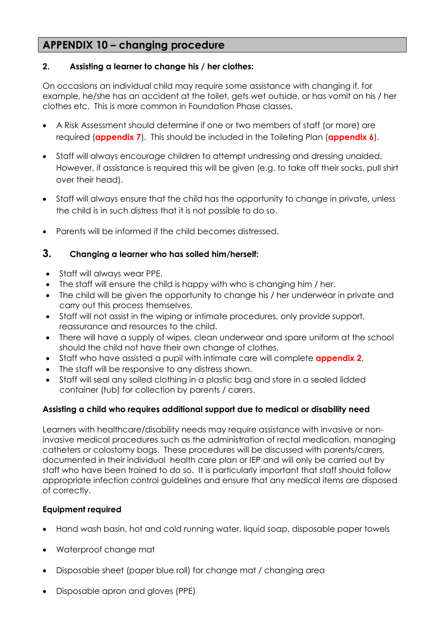#### **APPENDIX 10 – changing procedure**

#### **2. Assisting a learner to change his / her clothes:**

On occasions an individual child may require some assistance with changing if, for example, he/she has an accident at the toilet, gets wet outside, or has vomit on his / her clothes etc. This is more common in Foundation Phase classes.

- A Risk Assessment should determine if one or two members of staff (or more) are required (**appendix 7**). This should be included in the Toileting Plan (**appendix 6**).
- Staff will always encourage children to attempt undressing and dressing unaided. However, if assistance is required this will be given (e.g. to take off their socks, pull shirt over their head).
- Staff will always ensure that the child has the opportunity to change in private, unless the child is in such distress that it is not possible to do so.
- Parents will be informed if the child becomes distressed.

#### **3. Changing a learner who has soiled him/herself:**

- Staff will always wear PPE.
- The staff will ensure the child is happy with who is changing him / her.
- The child will be given the opportunity to change his / her underwear in private and carry out this process themselves.
- Staff will not assist in the wiping or intimate procedures, only provide support, reassurance and resources to the child.
- There will have a supply of wipes, clean underwear and spare uniform at the school should the child not have their own change of clothes.
- Staff who have assisted a pupil with intimate care will complete **appendix 2**.
- The staff will be responsive to any distress shown.
- Staff will seal any soiled clothing in a plastic bag and store in a sealed lidded container (tub) for collection by parents / carers.

#### **Assisting a child who requires additional support due to medical or disability need**

Learners with healthcare/disability needs may require assistance with invasive or noninvasive medical procedures such as the administration of rectal medication, managing catheters or colostomy bags. These procedures will be discussed with parents/carers, documented in their individual health care plan or IEP and will only be carried out by staff who have been trained to do so. It is particularly important that staff should follow appropriate infection control guidelines and ensure that any medical items are disposed of correctly.

#### **Equipment required**

- Hand wash basin, hot and cold running water, liquid soap, disposable paper towels
- Waterproof change mat
- Disposable sheet (paper blue roll) for change mat / changing area
- Disposable apron and gloves (PPE)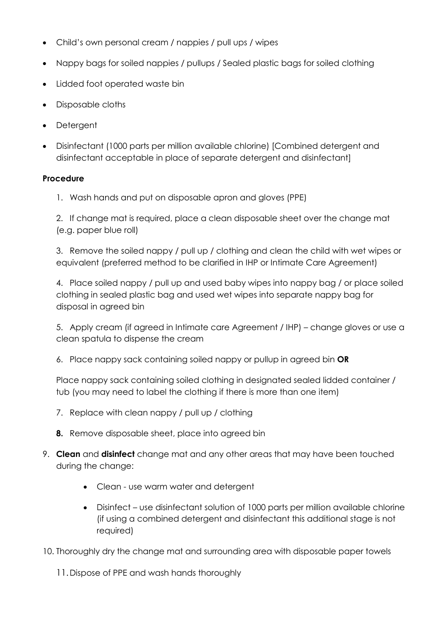- Child's own personal cream / nappies / pull ups / wipes
- Nappy bags for soiled nappies / pullups / Sealed plastic bags for soiled clothing
- Lidded foot operated waste bin
- Disposable cloths
- Detergent
- Disinfectant (1000 parts per million available chlorine) [Combined detergent and disinfectant acceptable in place of separate detergent and disinfectant]

#### **Procedure**

1. Wash hands and put on disposable apron and gloves (PPE)

2. If change mat is required, place a clean disposable sheet over the change mat (e.g. paper blue roll)

3. Remove the soiled nappy / pull up / clothing and clean the child with wet wipes or equivalent (preferred method to be clarified in IHP or Intimate Care Agreement)

4. Place soiled nappy / pull up and used baby wipes into nappy bag / or place soiled clothing in sealed plastic bag and used wet wipes into separate nappy bag for disposal in agreed bin

5. Apply cream (if agreed in Intimate care Agreement / IHP) – change gloves or use a clean spatula to dispense the cream

6. Place nappy sack containing soiled nappy or pullup in agreed bin **OR**

Place nappy sack containing soiled clothing in designated sealed lidded container / tub (you may need to label the clothing if there is more than one item)

- 7. Replace with clean nappy / pull up / clothing
- **8.** Remove disposable sheet, place into agreed bin
- 9. **Clean** and **disinfect** change mat and any other areas that may have been touched during the change:
	- Clean use warm water and detergent
	- Disinfect use disinfectant solution of 1000 parts per million available chlorine (if using a combined detergent and disinfectant this additional stage is not required)

10. Thoroughly dry the change mat and surrounding area with disposable paper towels

11.Dispose of PPE and wash hands thoroughly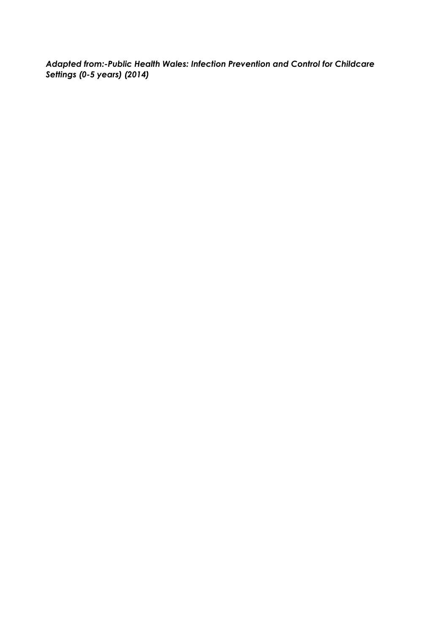*Adapted from:-Public Health Wales: Infection Prevention and Control for Childcare Settings (0-5 years) (2014)*